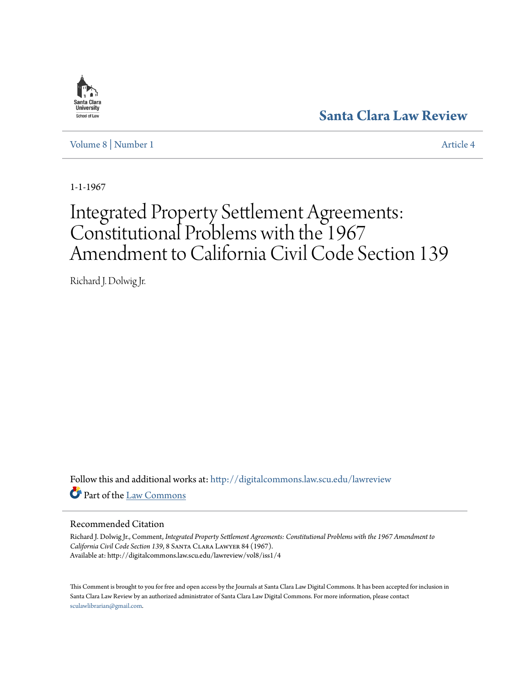

**[Santa Clara Law Review](http://digitalcommons.law.scu.edu/lawreview?utm_source=digitalcommons.law.scu.edu%2Flawreview%2Fvol8%2Fiss1%2F4&utm_medium=PDF&utm_campaign=PDFCoverPages)**

[Volume 8](http://digitalcommons.law.scu.edu/lawreview/vol8?utm_source=digitalcommons.law.scu.edu%2Flawreview%2Fvol8%2Fiss1%2F4&utm_medium=PDF&utm_campaign=PDFCoverPages) | [Number 1](http://digitalcommons.law.scu.edu/lawreview/vol8/iss1?utm_source=digitalcommons.law.scu.edu%2Flawreview%2Fvol8%2Fiss1%2F4&utm_medium=PDF&utm_campaign=PDFCoverPages) [Article 4](http://digitalcommons.law.scu.edu/lawreview/vol8/iss1/4?utm_source=digitalcommons.law.scu.edu%2Flawreview%2Fvol8%2Fiss1%2F4&utm_medium=PDF&utm_campaign=PDFCoverPages)

1-1-1967

# Integrated Property Settlement Agreements: Constitutional Problems with the 1967 Amendment to California Civil Code Section 139

Richard J. Dolwig Jr.

Follow this and additional works at: [http://digitalcommons.law.scu.edu/lawreview](http://digitalcommons.law.scu.edu/lawreview?utm_source=digitalcommons.law.scu.edu%2Flawreview%2Fvol8%2Fiss1%2F4&utm_medium=PDF&utm_campaign=PDFCoverPages) Part of the [Law Commons](http://network.bepress.com/hgg/discipline/578?utm_source=digitalcommons.law.scu.edu%2Flawreview%2Fvol8%2Fiss1%2F4&utm_medium=PDF&utm_campaign=PDFCoverPages)

# Recommended Citation

Richard J. Dolwig Jr., Comment, *Integrated Property Settlement Agreements: Constitutional Problems with the 1967 Amendment to California Civil Code Section 139*, 8 Santa Clara Lawyer 84 (1967). Available at: http://digitalcommons.law.scu.edu/lawreview/vol8/iss1/4

This Comment is brought to you for free and open access by the Journals at Santa Clara Law Digital Commons. It has been accepted for inclusion in Santa Clara Law Review by an authorized administrator of Santa Clara Law Digital Commons. For more information, please contact [sculawlibrarian@gmail.com](mailto:sculawlibrarian@gmail.com).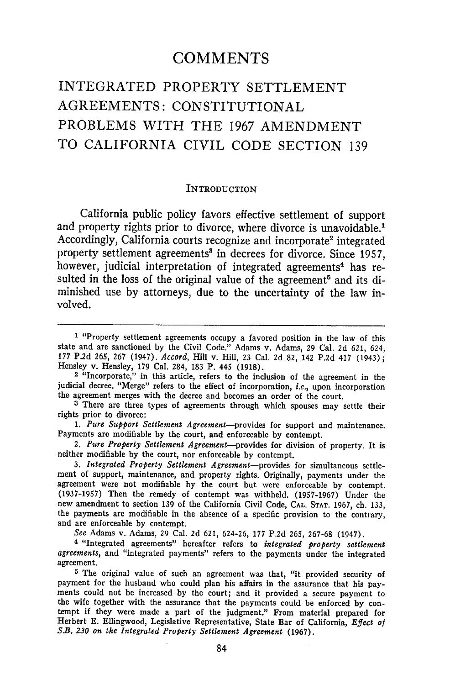# **COMMENTS**

# INTEGRATED PROPERTY SETTLEMENT AGREEMENTS: CONSTITUTIONAL PROBLEMS WITH THE **1967 AMENDMENT** TO CALIFORNIA CIVIL CODE SECTION 139

#### **INTRODUCTION**

California public policy favors effective settlement of support and property rights prior to divorce, where divorce is unavoidable.' Accordingly, California courts recognize and incorporate<sup>2</sup> integrated property settlement agreements' in decrees for divorce. Since 1957, however, judicial interpretation of integrated agreements<sup>4</sup> has resulted in the loss of the original value of the agreement<sup>5</sup> and its diminished use by attorneys, due to the uncertainty of the law involved.

*See* Adams v. Adams, 29 Cal. 2d 621, 624-26, 177 P.2d 265, 267-68 (1947).

**4** "Integrated agreements" hereafter refers to *integrated property settlement agreements,* and "integrated payments" refers to the payments under the integrated agreement.

**5** The original value of such an agreement was that, "it provided security of payment for the husband who could plan his affairs in the assurance that his payments could not be increased by the court; and it provided a secure payment to the wife together with the assurance that the payments could be enforced by con- tempt if they were made a part of the judgment." From material prepared for Herbert E. Ellingwood, Legislative Representative, State Bar of California, *Effect of* S.B. *230 on the Integrated Property Settlement Agreement* (1967).

**<sup>1</sup>** "Property settlement agreements occupy a favored position in the law of this state and are sanctioned by the Civil Code." Adams v. Adams, **29** Cal. 2d 621, 624, 177 P.2d 265, 267 (1947). *Accord,* Hill v. Hill, 23 Cal. **2d** 82, 142 P.2d 417 (1943); Hensley v. Hensley, 179 Cal. 284, 183 P. 445 (1918).

<sup>2 &</sup>quot;Incorporate," in this article, refers to the inclusion of the agreement in the judicial decree. "Merge" refers to the effect of incorporation, i.e., upon incorporation the agreement merges with the decree and becomes an order of the court.

**<sup>3</sup>** There are three types of agreements through which spouses may settle their rights prior to divorce:

<sup>1.</sup> Pure Support Settlement Agreement-provides for support and maintenance. Payments are modifiable by the court, and enforceable by contempt.

*<sup>2.</sup> Pure Property Settlement Agreement-provides* for division of property. It is neither modifiable by the court, nor enforceable by contempt.

*<sup>3.</sup> Integrated Property Settlement Agreement-provides* for simultaneous settlement of support, maintenance, and property rights. Originally, payments under the agreement were not modifiable by the court but were enforceable by contempt. (1937-1957) Then the remedy of contempt was withheld. (1957-1967) Under the new amendment to section 139 of the California Civil Code, CAL. STAT. 1967, ch. 133, the payments are modifiable in the absence of a specific provision to the contrary, and are enforceable by contempt.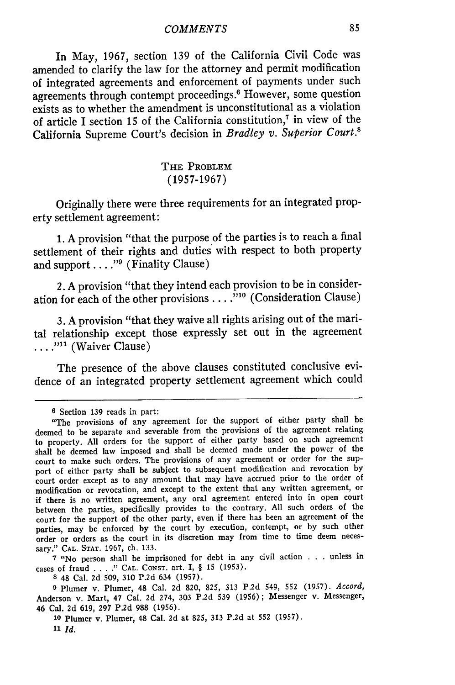In May, 1967, section **139** of the California Civil Code was amended to clarify the law for the attorney and permit modification of integrated agreements and enforcement of payments under such agreements through contempt proceedings.<sup>6</sup> However, some question exists as to whether the amendment is unconstitutional as a violation of article I section 15 of the California constitution,7 in view of the California Supreme Court's decision in *Bradley v. Superior Court.8*

# **THE PROBLEM (1957-1967)**

Originally there were three requirements for an integrated property settlement agreement:

**1. A** provision "that the purpose of the parties is to reach a final settlement of their rights and duties with respect to both property and support . . . . "<sup>9</sup> (Finality Clause)

2. **A** provision "that they intend each provision to be in consideration for each of the other provisions **.... ."'** (Consideration Clause)

**3. A** provision "that they waive all rights arising out of the marital relationship except those expressly set out in the agreement ....<sup>"11</sup> (Waiver Clause)

The presence of the above clauses constituted conclusive evidence of an integrated property settlement agreement which could

**<sup>7</sup>**"No person shall be imprisoned for debt in any civil action . . . unless in cases of fraud . **. . ." CAL.** CONST. art. I, § 15 (1953).

**8** 48 Cal. 2d 509, 310 P.2d 634 (1957).

**9** Plumer v. Plumer, 48 Cal. 2d 820, 825, 313 P.2d 549, 552 (1957). *Accord,* Anderson v. Mart, 47 Cal. 2d 274, 303 P.2d 539 (1956); Messenger v. Messenger, 46 Cal. 2d 619, 297 P.2d 988 (1956).

**<sup>10</sup>**Plumer v. Plumer, 48 Cal. 2d at 825, 313 P.2d at 552 (1957).

*11 Id.*

**<sup>6</sup>**Section 139 reads in part:

<sup>&</sup>quot;The provisions of any agreement for the support of either party shall be deemed to be separate and severable from the provisions of the agreement relating to property. All orders for the support of either party based on such agreement shall be deemed law imposed and shall be deemed made under the power of the court to make such orders. The provisions of any agreement or order for the support of either party shall be subject to subsequent modification and revocation by court order except as to any amount that may have accrued prior to the order of modification or revocation, and except to the extent that any written agreement, or if there is no written agreement, any oral agreement entered into in open court between the parties, specifically provides to the contrary. All such orders of the court for the support of the other party, even if there has been an agreement of the parties, may be enforced by the court by execution, contempt, or by such other order or orders as the court in its discretion may from time to time deem necessary." **CAL.** STAT. **1967,** ch. **133.**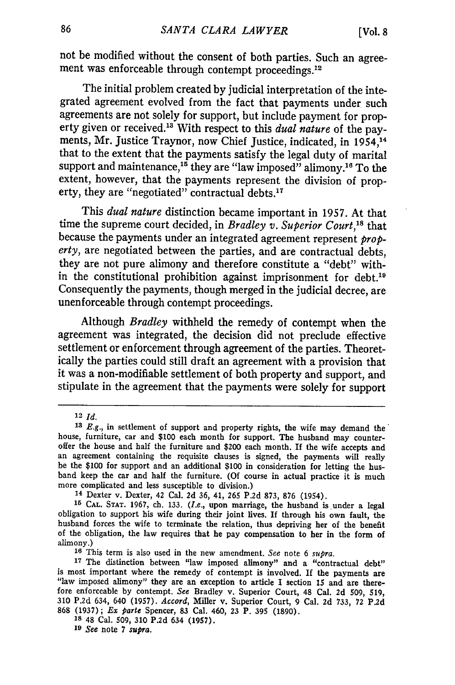not be modified without the consent of both parties. Such an agreement was enforceable through contempt proceedings.<sup>12</sup>

The initial problem created by judicial interpretation of the integrated agreement evolved from the fact that payments under such agreements are not solely for support, but include payment for property given or received."3 With respect to this *dual nature* of the payments, Mr. Justice Traynor, now Chief Justice, indicated, in 1954,'4 that to the extent that the payments satisfy the legal duty of marital support and maintenance,<sup>15</sup> they are "law imposed" alimony.<sup>16</sup> To the extent, however, that the payments represent the division of property, they are "negotiated" contractual debts.<sup>17</sup>

This *dual nature* distinction became important in 1957. At that time the supreme court decided, in *Bradley v. Superior Court*,<sup>18</sup> that because the payments under an integrated agreement represent *property,* are negotiated between the parties, and are contractual debts, they are not pure alimony and therefore constitute a "debt" within the constitutional prohibition against imprisonment for debt.'9 Consequently the payments, though merged in the judicial decree, are unenforceable through contempt proceedings.

Although *Bradley* withheld the remedy of contempt when the agreement was integrated, the decision did not preclude effective settlement or enforcement through agreement of the parties. Theoretically the parties could still draft an agreement with a provision that it was a non-modifiable settlement of both property and support, and stipulate in the agreement that the payments were solely for support

*19 See* note 7 *supra.*

<sup>12</sup> *Id.*

*<sup>13</sup> E.g.,* in settlement of support and property rights, the wife may demand the' house, furniture, car and **\$100** each month for support. The husband may counteroffer the house and half the furniture and \$200 each month. If the wife accepts and an agreement containing the requisite clauses is signed, the payments **win** really be the **\$100** for support and an additional **\$100** in consideration for letting the husband keep the car and half the furniture. **(Of** course in actual practice it is much more complicated and less susceptible to division.)

<sup>14</sup> Dexter v. Dexter, 42 Cal. **2d 36,** 41, **265 P.2d 873, 876** (1954). <sup>15</sup>**CAL. STAT. 1967, ch. 133.** *(I.e.,* upon marriage, the husband is under a legal obligation to support his wife during their joint lives. **If** through his own fault, the husband forces the wife to terminate the relation, thus depriving her of the benefit of the obligation, the law requires that he pay compensation to her in the form of alimony.) **<sup>16</sup>**This term is also used in the new amendment. *See* note 6 *supra.*

<sup>17</sup> The distinction between "law imposed alimony" and a "contractual debt" is most important where the remedy of contempt is involved. If the payments are "law imposed alimony" they are an exception to article I section 15 and are therefore enforceable **by** contempt. *See* Bradley v. Superior Court, 48 Cal. **2d 509, 519, 310 P.2d** 634, 640 **(1957).** *Accord,* Miller v. Superior Court, **9** Cal. **2d 733,** 72 P.2d **868 (1937);** *Ex parte* Spencer, **83** Cal. 460, **23** P. **395 (1890).**

**<sup>18</sup>** 48 Cal. **509, 310 P.2d** 634 **(1957).**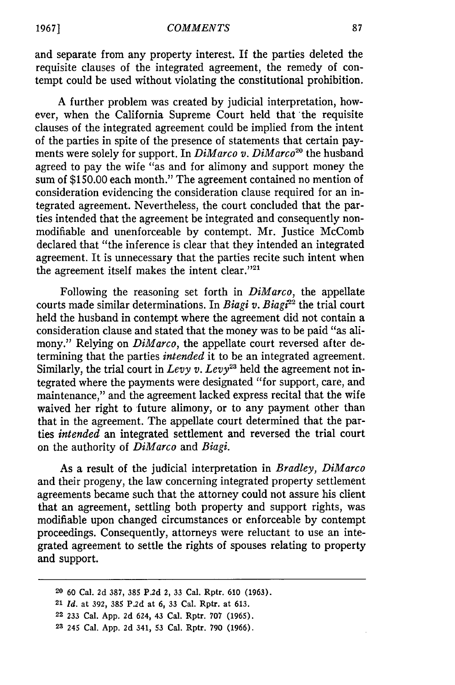and separate from any property interest. If the parties deleted the requisite clauses of the integrated agreement, the remedy of contempt could be used without violating the constitutional prohibition.

A further problem was created by judicial interpretation, however, when the California Supreme Court held that 'the requisite clauses of the integrated agreement could be implied from the intent of the parties in spite of the presence of statements that certain payments were solely for support. In *DiMarco v. DiMarco*<sup>20</sup> the husband agreed to pay the wife "as and for alimony and support money the sum of \$150.00 each month." The agreement contained no mention of consideration evidencing the consideration clause required for an integrated agreement. Nevertheless, the court concluded that the parties intended that the agreement be integrated and consequently nonmodifiable and unenforceable by contempt. Mr. Justice McComb declared that "the inference is clear that they intended an integrated agreement. It is unnecessary that the parties recite such intent when the agreement itself makes the intent clear."<sup>21</sup>

Following the reasoning set forth in *DiMarco,* the appellate courts made similar determinations. In *Biagi v. Biagi*<sup>22</sup> the trial court held the husband in contempt where the agreement did not contain a consideration clause and stated that the money was to be paid "as alimony." Relying on *DiMarco*, the appellate court reversed after determining that the parties *intended* it to be an integrated agreement. Similarly, the trial court in *Levy v. Levy*<sup>23</sup> held the agreement not integrated where the payments were designated "for support, care, and maintenance," and the agreement lacked express recital that the wife waived her right to future alimony, or to any payment other than that in the agreement. The appellate court determined that the parties *intended* an integrated settlement and reversed the trial court on the authority of *DiMarco* and *Biagi.*

As a result of the judicial interpretation in *Bradley, DiMarco* and their progeny, the law concerning integrated property settlement agreements became such that the attorney could not assure his client that an agreement, settling both property and support rights, was modifiable upon changed circumstances or enforceable by contempt proceedings. Consequently, attorneys were reluctant to use an integrated agreement to settle the rights of spouses relating to property and support.

**<sup>20 60</sup>** Cal. **2d 387, 385 P.2d** 2, **33** Cal. Rptr. **610 (1963).**

<sup>21</sup> *Id.* at **392, 385 P.2d** at **6, 33** Cal. Rptr. at **613.**

**<sup>22 233</sup>** Cal. **App. 2d** 624, 43 Cal. Rptr. **707 (1965).**

**<sup>23</sup>** 245 Cal. **App. 2d** 341, **53** Cal. Rptr. **790 (1966).**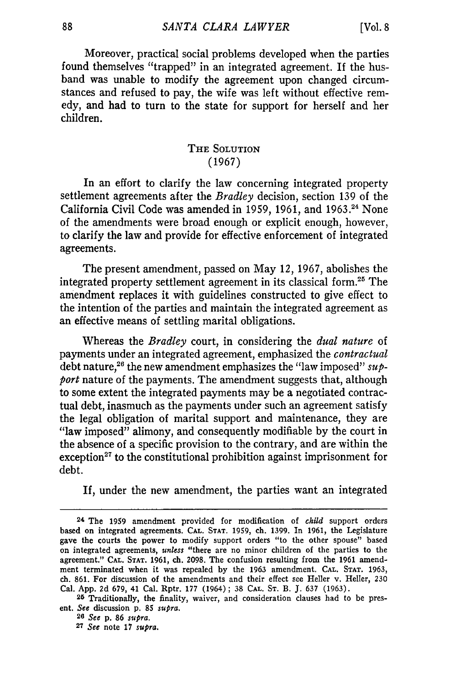Moreover, practical social problems developed when the parties found themselves "trapped" in an integrated agreement. If the husband was unable to modify the agreement upon changed circumstances and refused to pay, the wife was left without effective remedy, and had to turn to the state for support for herself and her children.

# THE **SOLUTION (1967)**

In an effort to clarify the law concerning integrated property settlement agreements after the *Bradley* decision, section **139** of the California Civil Code was amended in **1959, 1961,** and **1963.24** None of the amendments were broad enough or explicit enough, however, to clarify the law and provide for effective enforcement of integrated agreements.

The present amendment, passed on May 12, **1967,** abolishes the integrated property settlement agreement in its classical form.<sup>25</sup> The amendment replaces it with guidelines constructed to give effect to the intention of the parties and maintain the integrated agreement as an effective means of settling marital obligations.

Whereas the *Bradley* court, in considering the *dual nature* of payments under an integrated agreement, emphasized the *contractual* debt nature,<sup>26</sup> the new amendment emphasizes the "law imposed" sup*port* nature of the payments. The amendment suggests that, although to some extent the integrated payments may be a negotiated contractual debt, inasmuch as the payments under such an agreement satisfy the legal obligation of marital support and maintenance, they are "law imposed" alimony, and consequently modifiable **by** the court in the absence of a specific provision to the contrary, and are within the exception<sup>27</sup> to the constitutional prohibition against imprisonment for debt.

**If,** under the new amendment, the parties want an integrated

**<sup>24</sup>** The **1959** amendment provided for modification of *child* support orders based on integrated agreements. **CAL. STAT. 1959,** ch. **1399.** In **1961,** the Legislature gave the courts the power to modify support orders "to the other spouse" based on integrated agreements, *unless* "there are no minor children of the parties to the agreement." **CAL. STAT. 1961,** ch. **2098.** The confusion resulting from the **1961** amendment terminated when it was repealed **by** the **1963** amendment. **CAL. STAT. 1963, ch. 861.** For discussion of the amendments and their effect see Heller v. Heller, **230** Cal. **App. 2d 679,** 41 Cal. Rptr. **177** (1964) **; 38 CAL. ST.** B. **J. 637 (1963).**

**<sup>25</sup>** Traditionally, the finality, waiver, and consideration clauses had to be present. *See* discussion **p. 85** *supra.*

*<sup>26</sup> See* **p. 86** *supra.*

**<sup>27</sup>** *See* note **17** *supra.*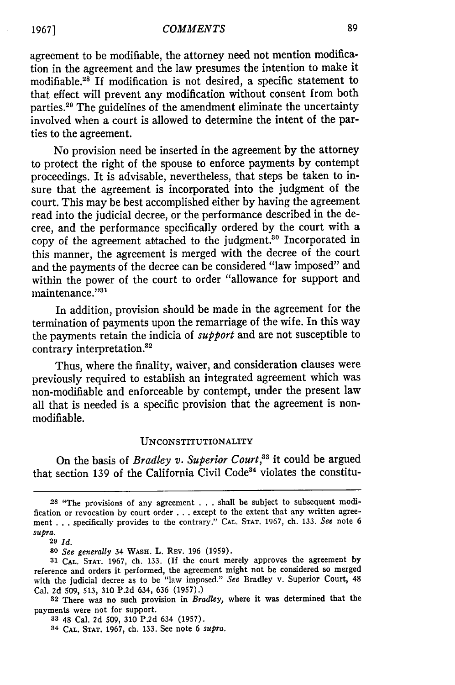#### *COMMENTS*

agreement to be modifiable, the attorney need not mention modification in the agreement and the law presumes the intention to make it modifiable.18 If modification is not desired, a specific statement to that effect will prevent any modification without consent from both parties.<sup>29</sup> The guidelines of the amendment eliminate the uncertainty involved when a court is allowed to determine the intent of the parties to the agreement.

No provision need be inserted in the agreement by the attorney to protect the right of the spouse to enforce payments by contempt proceedings. It is advisable, nevertheless, that steps be taken to insure that the agreement is incorporated into the judgment of the court. This may be best accomplished either by having the agreement read into the judicial decree, or the performance described in the decree, and the performance specifically ordered by the court with a copy of the agreement attached to the judgment.<sup>30</sup> Incorporated in this manner, the agreement is merged with the decree of the court and the payments of the decree can be considered "law imposed" and within the power of the court to order "allowance for support and maintenance."<sup>31</sup>

In addition, provision should be made in the agreement for the termination of payments upon the remarriage of the wife. In this way the payments retain the indicia of *support* and are not susceptible to contrary interpretation. <sup>32</sup>

Thus, where the finality, waiver, and consideration clauses were previously required to establish an integrated agreement which was non-modifiable and enforceable by contempt, under the present law all that is needed is a specific provision that the agreement is nonmodifiable.

#### UNCONSTITUTIONALITY

On the basis of *Bradley v. Superior Court,'3* it could be argued that section 139 of the California Civil Code<sup>34</sup> violates the constitu-

**19671**

<sup>&</sup>lt;sup>28</sup> "The provisions of any agreement . . . shall be subject to subsequent modification or revocation by court order **. . .** except to the extent that any written agreement ...specifically provides to the contrary." **CAL. STAT.** 1967, ch. **133.** *See* note 6 *supra.*

**<sup>29</sup>** *Id.*

*<sup>30</sup> See generally* 34 **WASH.** L. REV. 196 (1959).

**<sup>31</sup> CAL. STAT.** 1967, ch. 133. (If the court merely approves the agreement by reference and orders it performed, the agreement might not be considered so merged with the judicial decree as to be "law imposed." *See* Bradley v. Superior Court, 48 Cal. 2d 509, 513, 310 P.2d 634, 636 (1957).)

<sup>32</sup> There was no such provision in *Bradley,* where it was determined that the payments were not for support.

**<sup>33</sup>**48 Cal. 2d 509, 310 P.2d 634 (1957).

**<sup>34</sup>CAL. STAT. 1967,** ch. 133. See note **6** *supra.*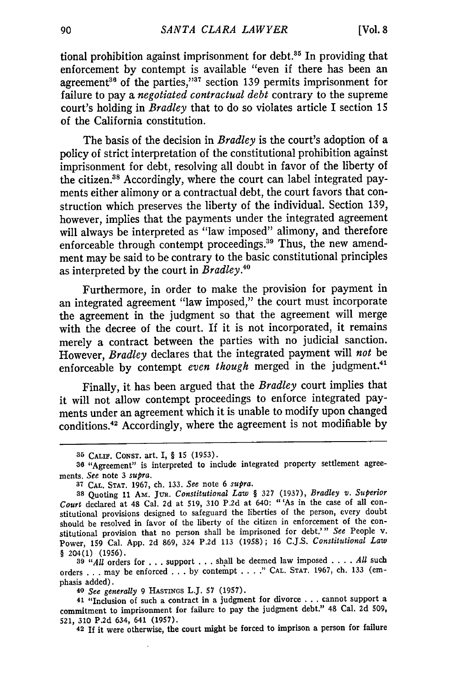tional prohibition against imprisonment for debt.<sup>35</sup> In providing that enforcement by contempt is available "even if there has been an agreement<sup>36</sup> of the parties,"<sup>37</sup> section 139 permits imprisonment for failure to pay a *negotiated contractual debt* contrary to the supreme court's holding in *Bradley* that to do so violates article I section 15 of the California constitution.

The basis of the decision in *Bradley* is the court's adoption of a policy of strict interpretation of the constitutional prohibition against imprisonment for debt, resolving all doubt in favor of the liberty of the citizen.<sup>38</sup> Accordingly, where the court can label integrated payments either alimony or a contractual debt, the court favors that construction which preserves the liberty of the individual. Section 139, however, implies that the payments under the integrated agreement will always be interpreted as "law imposed" alimony, and therefore enforceable through contempt proceedings.<sup>39</sup> Thus, the new amendment may be said to be contrary to the basic constitutional principles as interpreted by the court in *Bradley*.<sup>46</sup>

Furthermore, in order to make the provision for payment in an integrated agreement "law imposed," the court must incorporate the agreement in the judgment so that the agreement will merge with the decree of the court. If it is not incorporated, it remains merely a contract between the parties with no judicial sanction. However, *Bradley* declares that the integrated payment will *not* be enforceable by contempt even though merged in the judgment.<sup>41</sup>

Finally, it has been argued that the *Bradley* court implies that it will not allow contempt proceedings to enforce integrated payments under an agreement which it is unable to modify upon changed conditions.42 Accordingly, where the agreement is not modifiable by

**<sup>39</sup>***"All* orders for **...**support **...**shall be deemed law imposed .**. .** .*All* such orders **. . .** may be enforced **...by** contempt .... " **CAL. STAT. 1967,** ch. **133** (emphasis added).

*40 See generally* **9** HASTINGS L.J. **57** (1957).

**<sup>41</sup>**"Inclusion of such a contract in a judgment for divorce **...**cannot support a commitment to imprisonment for failure to pay the judgment debt." 48 Cal. **2d 509, 521, 310** P.2d 634, 641 **(1957).**

**42** If it were otherwise, the court might be forced to imprison a person for failure

<sup>3</sup>r) CALIF. **CONST.** art. I, § 15 **(1953).**

**<sup>36</sup>** "Agreement" is interpreted to include integrated property settlement agreements. *See* note 3 *supra.*

**<sup>37</sup>** CAL. **STAT.** 1967, ch. 133. *See* note 6 *supra.*

**<sup>38</sup>**Quoting **11** Am. JuR. *Constitutional Law §* **327** (1937), *Bradley v. Superior Court* declared at 48 Cal. **2d** at 519, **310** P.2d at 640: "'As in the case of all constitutional provisions designed to safeguard the liberties of the person, every doubt should be resolved in favor of the liberty of the citizen in enforcement of the constitutional provision that no person shall be imprisoned for debt.'" *See* People v. Power, 159 Cal. App. **2d** 869, 324 P.2d 113 (1958); 16 C.J.S. *Constitutional Law* § 204(1) **(1956).**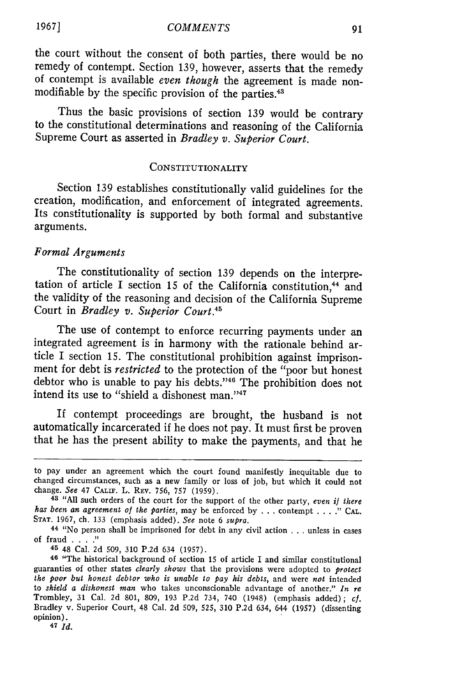the court without the consent of both parties, there would be no remedy of contempt. Section 139, however, asserts that the remedy of contempt is available *even though* the agreement is made nonmodifiable by the specific provision of the parties.<sup>43</sup>

Thus the basic provisions of section 139 would be contrary to the constitutional determinations and reasoning of the California Supreme Court as asserted in *Bradley v. Superior Court.*

## CONSTITUTIONALITY

Section **139** establishes constitutionally valid guidelines for the creation, modification, and enforcement of integrated agreements. Its constitutionality is supported **by** both formal and substantive arguments.

## *Formal Arguments*

The constitutionality of section **139** depends on the interpretation of article I section 15 of the California constitution,<sup>44</sup> and the validity of the reasoning and decision of the California Supreme Court in *Bradley v. Superior Court.4 "*

The use of contempt to enforce recurring payments under an integrated agreement is in harmony with the rationale behind article I section 15. The constitutional prohibition against imprisonment for debt is *restricted* to the protection of the "poor but honest debtor who is unable to pay his debts."<sup>46</sup> The prohibition does not intend its use to "shield a dishonest man." $47$ 

If contempt proceedings are brought, the husband is not automatically incarcerated if he does not pay. It must first be proven that he has the present ability to make the payments, and that he

**45** 48 Cal. 2d 509, 310 P.2d 634 (1957).

47 *Id.*

to pay under an agreement which the court found manifestly inequitable due to changed circumstances, such as a new family or loss of job, but which it could not change. See 47 CALn. L. REV. 756, **757** (1959).

<sup>&</sup>lt;sup>43</sup> "All such orders of the court for the support of the other party, even if there *has been an agreement of the parties, may be enforced by ... contempt ....*" CAL. **STAT.** 1967, ch. 133 (emphasis added). *See* note 6 supra.

**<sup>44</sup>**"No person shall be imprisoned for debt in any civil action . . . unless in cases of fraud **.... "**

**<sup>46</sup>**"The historical background of section 15 of article I and similar constitutional guaranties of other states *clearly shows* that the provisions were adopted to *protect* the poor but honest debtor who is unable to pay his debts, and were not intended to shield a dishonest man who takes unconscionable a Trombley, 31 Cal. 2d 801, 809, 193 P.2d 734, 740 (1948) (emphasis added); *cf.* Bradley v. Superior Court, 48 Cal. 2d 509, **525,** 310 P.2d 634, 644 (1957) (dissenting opinion).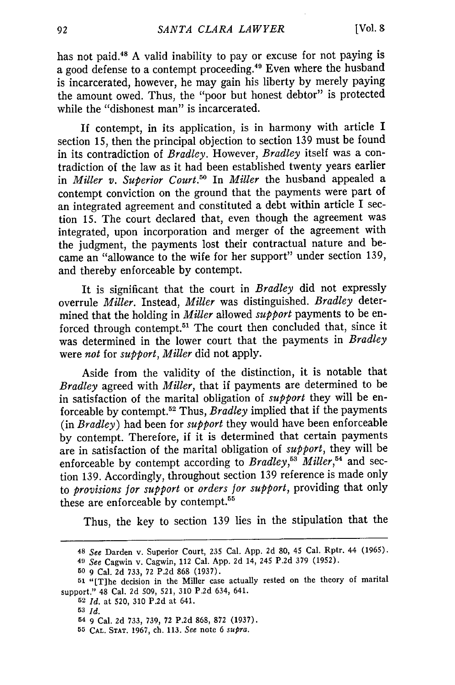has not paid.<sup>48</sup> A valid inability to pay or excuse for not paying is a good defense to a contempt proceeding. 49 Even where the husband is incarcerated, however, he may gain his liberty by merely paying the amount owed. Thus, the "poor but honest debtor" is protected while the "dishonest man" is incarcerated.

If contempt, in its application, is in harmony with article I section 15, then the principal objection to section 139 must be found in its contradiction of *Bradley.* However, *Bradley* itself was a contradiction of the law as it had been established twenty years earlier in *Miller v. Superior Court."* In *Miller* the husband appealed a contempt conviction on the ground that the payments were part of an integrated agreement and constituted a debt within article I section 15. The court declared that, even though the agreement was integrated, upon incorporation and merger of the agreement with the judgment, the payments lost their contractual nature and became an "allowance to the wife for her support" under section 139, and thereby enforceable by contempt.

It is significant that the court in *Bradley* did not expressly overrule *Miller.* Instead, *Miller* was distinguished. *Bradley* determined that the holding in *Miller* allowed *support* payments to be enforced through contempt.<sup>51</sup> The court then concluded that, since it was determined in the lower court that the payments in *Bradley* were *not* for *support, Miller* did not apply.

Aside from the validity of the distinction, it is notable that *Bradley* agreed with *Miller,* that if payments are determined to be in satisfaction of the marital obligation of *support* they will be enforceable by contempt. 52 Thus, *Bradley* implied that if the payments (in *Bradley)* had been for *support* they would have been enforceable by contempt. Therefore, if it is determined that certain payments are in satisfaction of the marital obligation of *support,* they will be enforceable by contempt according to *Bradley*,<sup>53</sup> *Miller*,<sup>54</sup> and section 139. Accordingly, throughout section 139 reference is made only to *provisions for support* or *orders for support,* providing that only these are enforceable by contempt.<sup>55</sup>

Thus, the key to section 139 lies in the stipulation that the

- **54 9** Cal. 2d 733, 739, 72 P.2d 868, 872 (1937).
- **55 CAL. STAT.** 1967, ch. 113. *See* note 6 *supra.*

**<sup>48</sup>***See* Darden v. Superior Court, 235 Cal. App. 2d **80,** 45 Cal. Rptr. 44 (1965). *41 See* Cagwin v. Cagwin, 112 Cal. App. **2d** 14, 245 P.2d 379 (1952).

**<sup>50</sup>** 9 Cal. 2d 733, 72 P.2d 868 (1937).

**<sup>51</sup>**"[T]he decision in the Miller case actually rested on the theory of marital support." 48 Cal. 2d **509,** 521, **310** P.2d 634, 641.

**<sup>52</sup>***Id.* at 520, **310** P.2d at 641.

**<sup>53</sup>***Id.*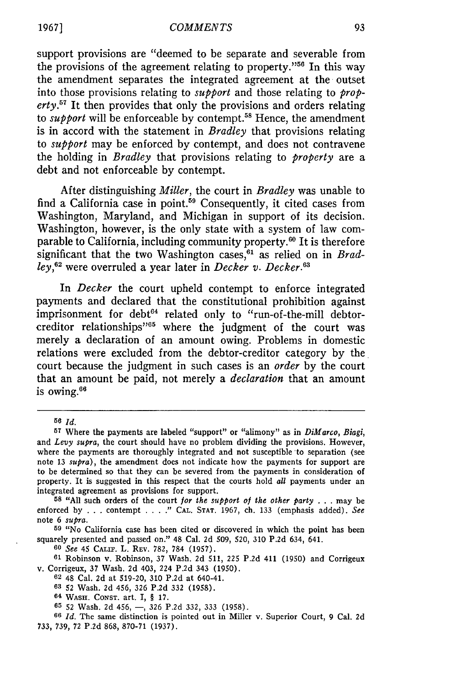support provisions are "deemed to be separate and severable from the provisions of the agreement relating to property."56 In this way the amendment separates the integrated agreement at the outset into those provisions relating to *support* and those relating to *property.57* It then provides that only the provisions and orders relating to *support* will be enforceable by contempt.<sup>58</sup> Hence, the amendment is in accord with the statement in *Bradley* that provisions relating to *support* may be enforced by contempt, and does not contravene the holding in *Bradley* that provisions relating to *property* are a debt and not enforceable by contempt.

After distinguishing *Miller,* the court in *Bradley* was unable to find a California case in point.<sup>59</sup> Consequently, it cited cases from Washington, Maryland, and Michigan in support of its decision. Washington, however, is the only state with a system of law comparable to California, including community property. $60$  It is therefore significant that the two Washington cases,<sup>61</sup> as relied on in *Bradley, <sup>62</sup>*were overruled a year later in *Decker v. Decker.3*

In *Decker* the court upheld contempt to enforce integrated payments and declared that the constitutional prohibition against imprisonment for debt<sup>64</sup> related only to "run-of-the-mill debtorcreditor relationships"65 where the judgment of the court was merely a declaration of an amount owing. Problems in domestic relations were excluded from the debtor-creditor category by the court because the judgment in such cases is an *order* by the court that an amount be paid, not merely a *declaration* that an amount is owing.<sup>66</sup>

*60 See* 45 CALIF. L. REV. 782, 784 (1957).

**61** Robinson v. Robinson, 37 Wash. 2d 511, 225 P.2d 411 (1950) and Corrigeux v. Corrigeux, 37 Wash. 2d 403, 224 P.2d 343 (1950).

**<sup>56</sup>** *Id.*

**<sup>57</sup>**Where the payments are labeled "support" or "alimony" as in *DiMarco, Biagi,* and *Levy supra*, the court should have no problem dividing the provisions. However, where the payments are thoroughly integrated and not susceptible to separation (see note 13 *supra),* the amendment does not indicate how the payments for support are to be determined so that they can be severed from the payments in consideration of property. It is suggested in this respect that the courts hold all payments under an integrated agreement as provisions for support.

**<sup>58</sup>**"All such orders of the court *for the support of the other party* ...may be enforced by . . . contempt .... " **CAL. STAT.** 1967, ch. 133 (emphasis added). *See* note 6 *supra.*

**<sup>59</sup>** "No California case has been cited or discovered in which the point has been squarely presented and passed on." 48 Cal. 2d 509, 520, 310 P.2d 634, 641.

**<sup>62</sup>**48 Cal. 2d at 519-20, 310 P.2d at 640-41.

**<sup>63 52</sup>** Wash. **2d** 456, 326 P.2d **332 (1958).**

**<sup>64</sup> WASH. CONST.** art. I, § 17.

**<sup>65</sup>** 52 Wash. 2d 456, **-,** 326 P.2d 332, 333 (1958).

**<sup>66</sup>** *Id.* The same distinction is pointed out in Miller v. Superior Court, 9 Cal. 2d 733, 739, 72 P.2d 868, 870-71 (1937).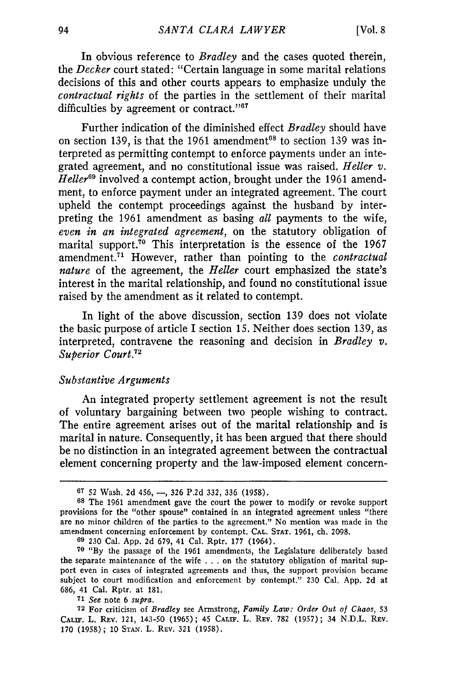In obvious reference to *Bradley* and the cases quoted therein, *the Decker* court stated: "Certain language in some marital relations decisions of this and other courts appears to emphasize unduly the *contractual rights* of the parties in the settlement of their marital difficulties by agreement or contract."<sup>67</sup>

Further indication of the diminished effect *Bradley* should have on section 139, is that the 1961 amendment<sup>68</sup> to section 139 was interpreted as permitting contempt to enforce payments under an integrated agreement, and no constitutional issue was raised. *Heller v. Heller69* involved a contempt action, brought under the 1961 amendment, to enforce payment under an integrated agreement. The court upheld the contempt proceedings against the husband by interpreting the 1961 amendment as basing *all* payments to the wife, *even in an integrated agreement,* on the statutory obligation of marital support.<sup>70</sup> This interpretation is the essence of the 1967 amendment.<sup>71</sup> However, rather than pointing to the *contractual nature* of the agreement, the *Heller* court emphasized the state's interest in the marital relationship, and found no constitutional issue raised by the amendment as it related to contempt.

In light of the above discussion, section 139 does not violate the basic purpose of article I section 15. Neither does section 139, as interpreted, contravene the reasoning and decision in *Bradley v. Superior Court.7 <sup>2</sup>*

## *Substantive Arguments*

An integrated property settlement agreement is not the result of voluntary bargaining between two people wishing to contract. The entire agreement arises out of the marital relationship and is marital in nature. Consequently, it has been argued that there should be no distinction in an integrated agreement between the contractual element concerning property and the law-imposed element concern-

**71** *See* note 6 *supra.*

**<sup>67 52</sup>** Wash. **2d** 456, **-, 326 P.2d 332, 336 (1958).**

**<sup>68</sup>** The **1961** amendment gave the court the power to modify or revoke support provisions for the "other spouse" contained in an integrated agreement unless "there are no minor children of the parties to the agreement." No mention was made in the amendment concerning enforcement **by** contempt. **CAL. STAT. 1961,** ch. **2098.**

**<sup>60</sup>230** Cal. **App. 2d 679,** 41 Cal. Rptr. **177** (1964).

**<sup>70 &</sup>quot;By** the passage of the **1961** amendments, the Legislature deliberately based the separate maintenance of the wife **...**on the statutory obligation of marital support even in cases of integrated agreements and thus, the support provision became subject to court modification and enforcement **by** contempt." **230** Cal. **App. 2d** at **686,** 41 Cal. Rptr. at **181.**

**<sup>72</sup>** For criticism of *Bradley* see Armstrong, *Family Law: Order Out of Chaos,* **53 CALIF.** L. REV. 121, 143-50 **(1965);** 45 CALIF. L. **REV. 782 (1957);** 34 **N.D.L. REV. 170 (1958);** 10 **STAN.** L. **REV. 321 (1958).**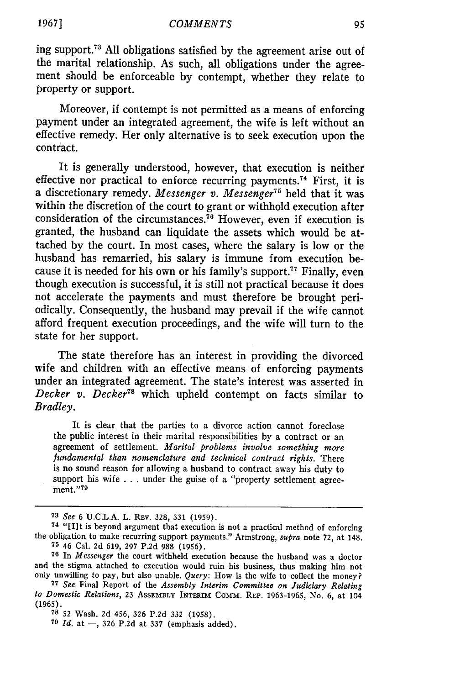ing support.<sup>73</sup> All obligations satisfied by the agreement arise out of the marital relationship. As such, all obligations under the agreement should be enforceable by contempt, whether they relate to property or support.

Moreover, if contempt is not permitted as a means of enforcing payment under an integrated agreement, the wife is left without an effective remedy. Her only alternative is to seek execution upon the contract.

It is generally understood, however, that execution is neither effective nor practical to enforce recurring payments.<sup>74</sup> First, it is a discretionary remedy. *Messenger v. Messenger7 <sup>5</sup>*held that it was within the discretion of the court to grant or withhold execution after consideration of the circumstances.<sup>76</sup> However, even if execution is granted, the husband can liquidate the assets which would be attached by the court. In most cases, where the salary is low or the husband has remarried, his salary is immune from execution because it is needed for his own or his family's support.<sup>77</sup> Finally, even though execution is successful, it is still not practical because it does not accelerate the payments and must therefore be brought periodically. Consequently, the husband may prevail if the wife cannot afford frequent execution proceedings, and the wife will turn to the state for her support.

The state therefore has an interest in providing the divorced wife and children with an effective means of enforcing payments under an integrated agreement. The state's interest was asserted in *Decker v. Decker78* which upheld contempt on facts similar to *Bradley.*

It is clear that the parties to a divorce action cannot foreclose the public interest in their marital responsibilities by a contract or an agreement of settlement. *Marital problems involve something more fundamental than nomenclature and technical contract rights.* There is no sound reason for allowing a husband to contract away his duty to support his wife . . . under the guise of a "property settlement agreement."79

**<sup>73</sup>** *See* 6 U.C.L.A. L. REV. **328, 331** (1959).

**<sup>74</sup>**"[I]t is beyond argument that execution is not a practical method of enforcing the obligation to make recurring support payments." Armstrong, *supra* note **72,** at 148. **<sup>75</sup>**46 Cal. 2d 619, 297 P.2d **988** (1956).

**<sup>76</sup>**In *Messenger* the court withheld execution because the husband was a doctor and the stigma attached to execution would ruin his business, thus making him not only unwilling to pay, but also unable. *Query:* How is the wife to collect the money?

**<sup>77</sup>***See* Final Report of the *Assembly Interim Committee on Judiciary Relating to Domestic Relations,* **23** ASSEMBLY INTERIM Commra. REP. 1963-1965, No. 6, at 104 (1965).

**<sup>78 52</sup>** Wash. 2d 456, 326 P.2d 332 (1958).

**<sup>79</sup>***Id.* at -, 326 P.2d at 337 (emphasis added).